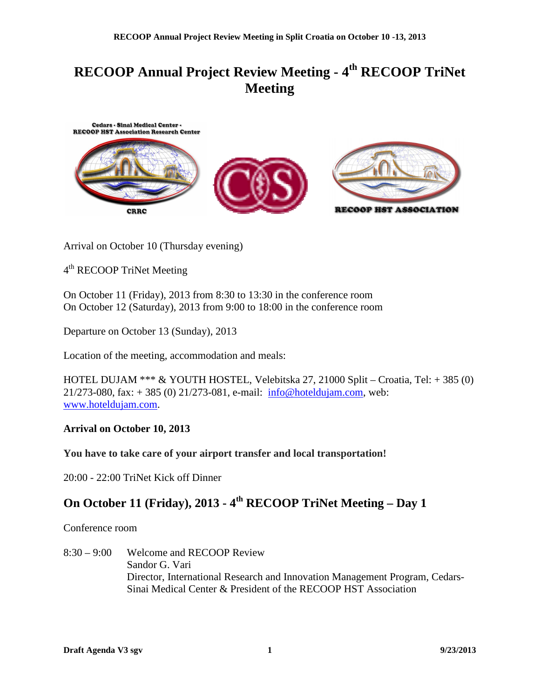# **RECOOP Annual Project Review Meeting - 4th RECOOP TriNet Meeting**



Arrival on October 10 (Thursday evening)

4<sup>th</sup> RECOOP TriNet Meeting

On October 11 (Friday), 2013 from 8:30 to 13:30 in the conference room On October 12 (Saturday), 2013 from 9:00 to 18:00 in the conference room

Departure on October 13 (Sunday), 2013

Location of the meeting, accommodation and meals:

HOTEL DUJAM \*\*\* & YOUTH HOSTEL, Velebitska 27, 21000 Split – Croatia, Tel: + 385 (0) 21/273-080, fax: + 385 (0) 21/273-081, e-mail: info@hoteldujam.com, web: www.hoteldujam.com.

### **Arrival on October 10, 2013**

**You have to take care of your airport transfer and local transportation!**

20:00 - 22:00 TriNet Kick off Dinner

# **On October 11 (Friday), 2013 - 4th RECOOP TriNet Meeting – Day 1**

Conference room

8:30 – 9:00 Welcome and RECOOP Review Sandor G. Vari Director, International Research and Innovation Management Program, Cedars-Sinai Medical Center & President of the RECOOP HST Association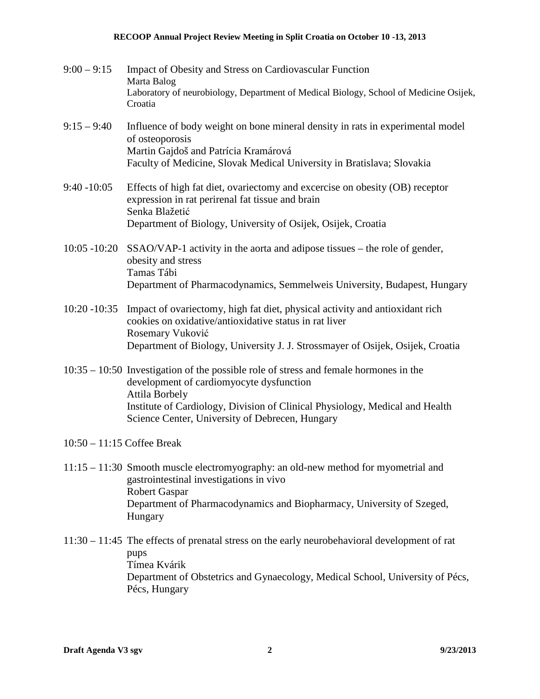- 9:00 9:15 Impact of Obesity and Stress on Cardiovascular Function Marta Balog Laboratory of neurobiology, Department of Medical Biology, School of Medicine Osijek, Croatia
- 9:15 9:40 Influence of body weight on bone mineral density in rats in experimental model of osteoporosis Martin Gajdoš and Patrícia Kramárová Faculty of Medicine, Slovak Medical University in Bratislava; Slovakia
- 9:40 -10:05 Effects of high fat diet, ovariectomy and excercise on obesity (OB) receptor expression in rat perirenal fat tissue and brain Senka Blažetić Department of Biology, University of Osijek, Osijek, Croatia
- 10:05 -10:20 SSAO/VAP-1 activity in the aorta and adipose tissues the role of gender, obesity and stress Tamas Tábi Department of Pharmacodynamics, Semmelweis University, Budapest, Hungary
- 10:20 -10:35 Impact of ovariectomy, high fat diet, physical activity and antioxidant rich cookies on oxidative/antioxidative status in rat liver Rosemary Vuković Department of Biology, University J. J. Strossmayer of Osijek, Osijek, Croatia
- 10:35 10:50 Investigation of the possible role of stress and female hormones in the development of cardiomyocyte dysfunction Attila Borbely Institute of Cardiology, Division of Clinical Physiology, Medical and Health Science Center, University of Debrecen, Hungary
- 10:50 11:15 Coffee Break
- 11:15 11:30 Smooth muscle electromyography: an old-new method for myometrial and gastrointestinal investigations in vivo Robert Gaspar Department of Pharmacodynamics and Biopharmacy, University of Szeged, Hungary
- 11:30 11:45 The effects of prenatal stress on the early neurobehavioral development of rat pups Tímea Kvárik Department of Obstetrics and Gynaecology, Medical School, University of Pécs, Pécs, Hungary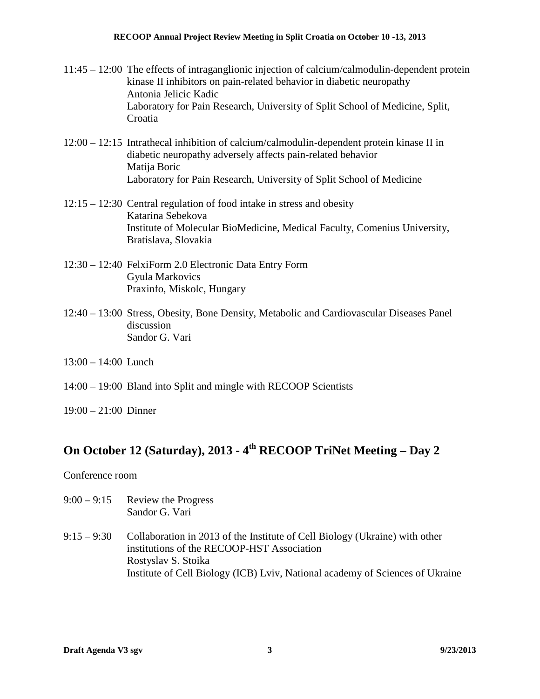- 11:45 12:00 The effects of intraganglionic injection of calcium/calmodulin-dependent protein kinase II inhibitors on pain-related behavior in diabetic neuropathy Antonia Jelicic Kadic Laboratory for Pain Research, University of Split School of Medicine, Split, Croatia
- 12:00 12:15 Intrathecal inhibition of calcium/calmodulin-dependent protein kinase II in diabetic neuropathy adversely affects pain-related behavior Matija Boric Laboratory for Pain Research, University of Split School of Medicine
- 12:15 12:30 Central regulation of food intake in stress and obesity Katarina Sebekova Institute of Molecular BioMedicine, Medical Faculty, Comenius University, Bratislava, Slovakia
- 12:30 12:40 FelxiForm 2.0 Electronic Data Entry Form Gyula Markovics Praxinfo, Miskolc, Hungary
- 12:40 13:00 Stress, Obesity, Bone Density, Metabolic and Cardiovascular Diseases Panel discussion Sandor G. Vari
- 13:00 14:00 Lunch
- 14:00 19:00 Bland into Split and mingle with RECOOP Scientists
- 19:00 21:00 Dinner

# **On October 12 (Saturday), 2013 - 4th RECOOP TriNet Meeting – Day 2**

Conference room

- 9:00 9:15 Review the Progress Sandor G. Vari
- 9:15 9:30 Collaboration in 2013 of the Institute of Cell Biology (Ukraine) with other institutions of the RECOOP-HST Association Rostyslav S. Stoika Institute of Cell Biology (ICB) Lviv, National academy of Sciences of Ukraine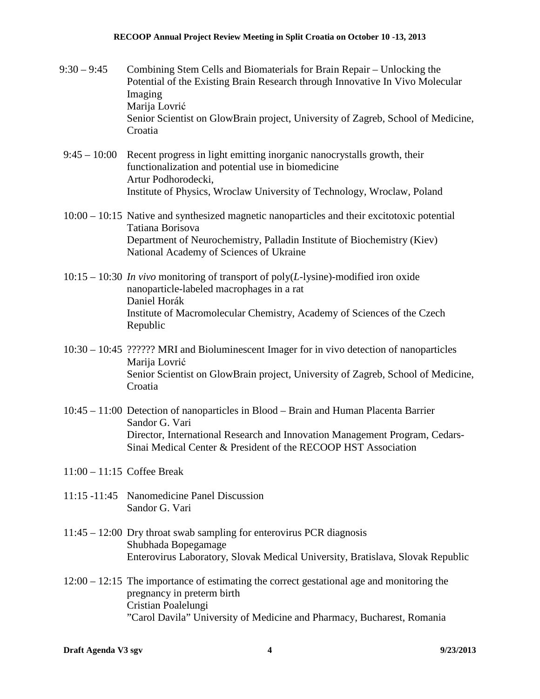- 9:30 9:45 Combining Stem Cells and Biomaterials for Brain Repair Unlocking the Potential of the Existing Brain Research through Innovative In Vivo Molecular Imaging Marija Lovrić Senior Scientist on GlowBrain project, University of Zagreb, School of Medicine, Croatia
- 9:45 10:00 Recent progress in light emitting inorganic nanocrystalls growth, their functionalization and potential use in biomedicine Artur Podhorodecki, Institute of Physics, Wroclaw University of Technology, Wroclaw, Poland
- 10:00 10:15 Native and synthesized magnetic nanoparticles and their excitotoxic potential Tatiana Borisova Department of Neurochemistry, Palladin Institute of Biochemistry (Kiev) National Academy of Sciences of Ukraine
- 10:15 10:30 *In vivo* monitoring of transport of poly(*L*-lysine)-modified iron oxide nanoparticle-labeled macrophages in a rat Daniel Horák Institute of Macromolecular Chemistry, Academy of Sciences of the Czech Republic
- 10:30 10:45 ?????? MRI and Bioluminescent Imager for in vivo detection of nanoparticles Marija Lovrić Senior Scientist on GlowBrain project, University of Zagreb, School of Medicine, Croatia
- 10:45 11:00 Detection of nanoparticles in Blood Brain and Human Placenta Barrier Sandor G. Vari Director, International Research and Innovation Management Program, Cedars-Sinai Medical Center & President of the RECOOP HST Association
- 11:00 11:15 Coffee Break
- 11:15 -11:45 Nanomedicine Panel Discussion Sandor G. Vari
- 11:45 12:00 Dry throat swab sampling for enterovirus PCR diagnosis Shubhada Bopegamage Enterovirus Laboratory, Slovak Medical University, Bratislava, Slovak Republic
- 12:00 12:15 The importance of estimating the correct gestational age and monitoring the pregnancy in preterm birth Cristian Poalelungi "Carol Davila" University of Medicine and Pharmacy, Bucharest, Romania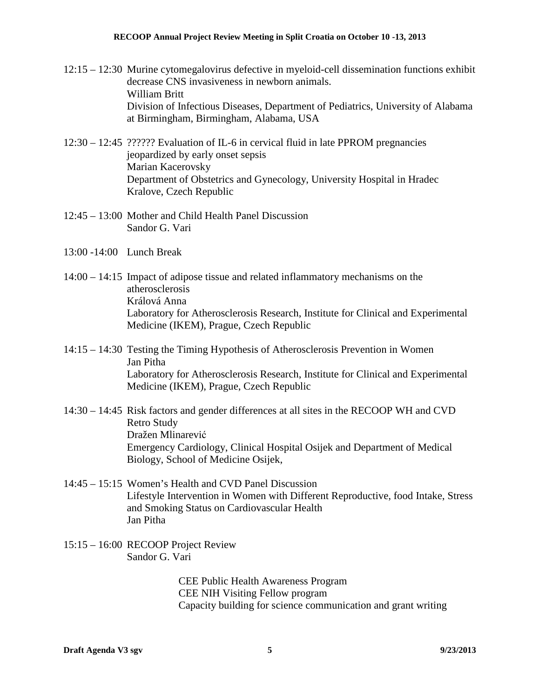- 12:15 12:30 Murine cytomegalovirus defective in myeloid-cell dissemination functions exhibit decrease CNS invasiveness in newborn animals. William Britt Division of Infectious Diseases, Department of Pediatrics, University of Alabama at Birmingham, Birmingham, Alabama, USA
- 12:30 12:45 ?????? Evaluation of IL-6 in cervical fluid in late PPROM pregnancies jeopardized by early onset sepsis Marian Kacerovsky Department of Obstetrics and Gynecology, University Hospital in Hradec Kralove, Czech Republic
- 12:45 13:00 Mother and Child Health Panel Discussion Sandor G. Vari
- 13:00 -14:00 Lunch Break
- 14:00 14:15 Impact of adipose tissue and related inflammatory mechanisms on the atherosclerosis Králová Anna Laboratory for Atherosclerosis Research, Institute for Clinical and Experimental Medicine (IKEM), Prague, Czech Republic
- 14:15 14:30 Testing the Timing Hypothesis of Atherosclerosis Prevention in Women Jan Pitha Laboratory for Atherosclerosis Research, Institute for Clinical and Experimental Medicine (IKEM), Prague, Czech Republic
- 14:30 14:45 Risk factors and gender differences at all sites in the RECOOP WH and CVD Retro Study Dražen Mlinarević Emergency Cardiology, Clinical Hospital Osijek and Department of Medical Biology, School of Medicine Osijek,
- 14:45 15:15 Women's Health and CVD Panel Discussion Lifestyle Intervention in Women with Different Reproductive, food Intake, Stress and Smoking Status on Cardiovascular Health Jan Pitha
- 15:15 16:00 RECOOP Project Review Sandor G. Vari

CEE Public Health Awareness Program CEE NIH Visiting Fellow program Capacity building for science communication and grant writing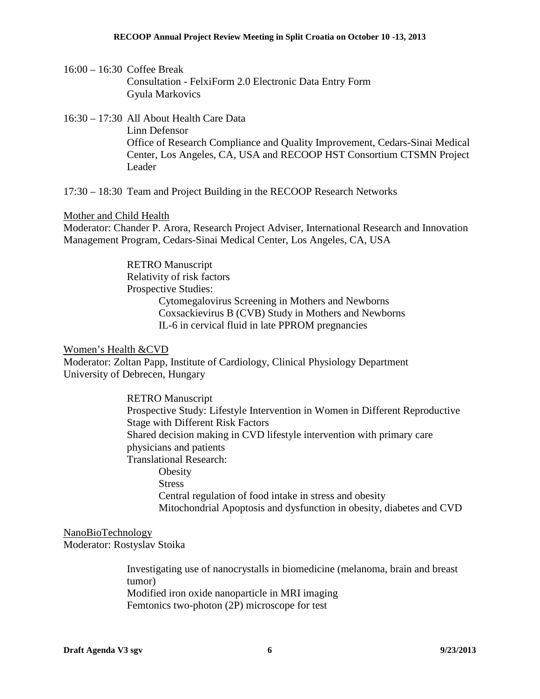16:00 – 16:30 Coffee Break Consultation - FelxiForm 2.0 Electronic Data Entry Form Gyula Markovics

16:30 – 17:30 All About Health Care Data

Linn Defensor Office of Research Compliance and Quality Improvement, Cedars-Sinai Medical Center, Los Angeles, CA, USA and RECOOP HST Consortium CTSMN Project Leader

17:30 – 18:30 Team and Project Building in the RECOOP Research Networks

#### Mother and Child Health

Moderator: Chander P. Arora, Research Project Adviser, International Research and Innovation Management Program, Cedars-Sinai Medical Center, Los Angeles, CA, USA

> RETRO Manuscript Relativity of risk factors Prospective Studies: Cytomegalovirus Screening in Mothers and Newborns Coxsackievirus B (CVB) Study in Mothers and Newborns IL-6 in cervical fluid in late PPROM pregnancies

Women's Health &CVD Moderator: Zoltan Papp, Institute of Cardiology, Clinical Physiology Department University of Debrecen, Hungary

> RETRO Manuscript Prospective Study: Lifestyle Intervention in Women in Different Reproductive Stage with Different Risk Factors Shared decision making in CVD lifestyle intervention with primary care physicians and patients Translational Research: **Obesity** Stress Central regulation of food intake in stress and obesity Mitochondrial Apoptosis and dysfunction in obesity, diabetes and CVD

NanoBioTechnology Moderator: Rostyslav Stoika

> Investigating use of nanocrystalls in biomedicine (melanoma, brain and breast tumor) Modified iron oxide nanoparticle in MRI imaging Femtonics two-photon (2P) microscope for test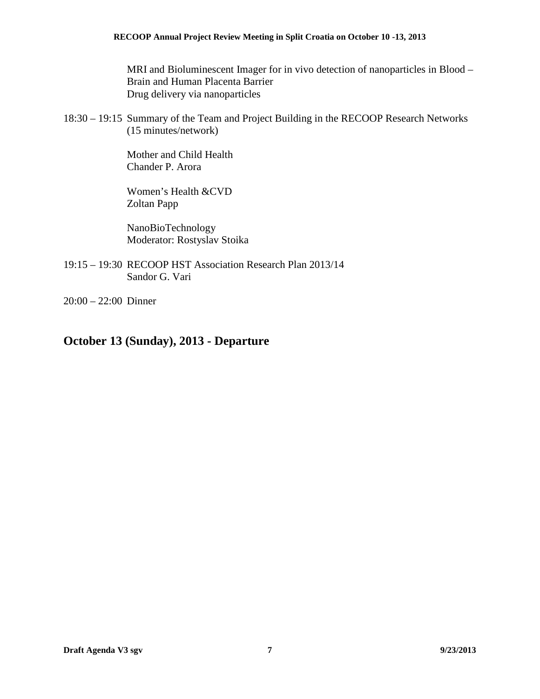MRI and Bioluminescent Imager for in vivo detection of nanoparticles in Blood – Brain and Human Placenta Barrier Drug delivery via nanoparticles

18:30 – 19:15 Summary of the Team and Project Building in the RECOOP Research Networks (15 minutes/network)

> Mother and Child Health Chander P. Arora

> Women's Health &CVD Zoltan Papp

NanoBioTechnology Moderator: Rostyslav Stoika

- 19:15 19:30 RECOOP HST Association Research Plan 2013/14 Sandor G. Vari
- 20:00 22:00 Dinner

# **October 13 (Sunday), 2013 - Departure**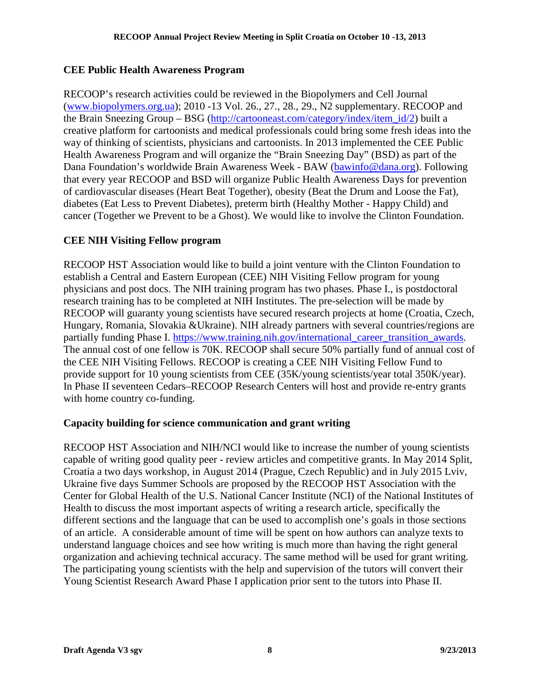### **CEE Public Health Awareness Program**

RECOOP's research activities could be reviewed in the Biopolymers and Cell Journal (www.biopolymers.org.ua); 2010 -13 Vol. 26., 27., 28., 29., N2 supplementary. RECOOP and the Brain Sneezing Group – BSG (http://cartooneast.com/category/index/item\_id/2) built a creative platform for cartoonists and medical professionals could bring some fresh ideas into the way of thinking of scientists, physicians and cartoonists. In 2013 implemented the CEE Public Health Awareness Program and will organize the "Brain Sneezing Day" (BSD) as part of the Dana Foundation's worldwide Brain Awareness Week - BAW (bawinfo@dana.org). Following that every year RECOOP and BSD will organize Public Health Awareness Days for prevention of cardiovascular diseases (Heart Beat Together), obesity (Beat the Drum and Loose the Fat), diabetes (Eat Less to Prevent Diabetes), preterm birth (Healthy Mother - Happy Child) and cancer (Together we Prevent to be a Ghost). We would like to involve the Clinton Foundation.

## **CEE NIH Visiting Fellow program**

RECOOP HST Association would like to build a joint venture with the Clinton Foundation to establish a Central and Eastern European (CEE) NIH Visiting Fellow program for young physicians and post docs. The NIH training program has two phases. Phase I., is postdoctoral research training has to be completed at NIH Institutes. The pre-selection will be made by RECOOP will guaranty young scientists have secured research projects at home (Croatia, Czech, Hungary, Romania, Slovakia &Ukraine). NIH already partners with several countries/regions are partially funding Phase I. https://www.training.nih.gov/international\_career\_transition\_awards. The annual cost of one fellow is 70K. RECOOP shall secure 50% partially fund of annual cost of the CEE NIH Visiting Fellows. RECOOP is creating a CEE NIH Visiting Fellow Fund to provide support for 10 young scientists from CEE (35K/young scientists/year total 350K/year). In Phase II seventeen Cedars–RECOOP Research Centers will host and provide re-entry grants with home country co-funding.

### **Capacity building for science communication and grant writing**

RECOOP HST Association and NIH/NCI would like to increase the number of young scientists capable of writing good quality peer - review articles and competitive grants. In May 2014 Split, Croatia a two days workshop, in August 2014 (Prague, Czech Republic) and in July 2015 Lviv, Ukraine five days Summer Schools are proposed by the RECOOP HST Association with the Center for Global Health of the U.S. National Cancer Institute (NCI) of the National Institutes of Health to discuss the most important aspects of writing a research article, specifically the different sections and the language that can be used to accomplish one's goals in those sections of an article. A considerable amount of time will be spent on how authors can analyze texts to understand language choices and see how writing is much more than having the right general organization and achieving technical accuracy. The same method will be used for grant writing. The participating young scientists with the help and supervision of the tutors will convert their Young Scientist Research Award Phase I application prior sent to the tutors into Phase II.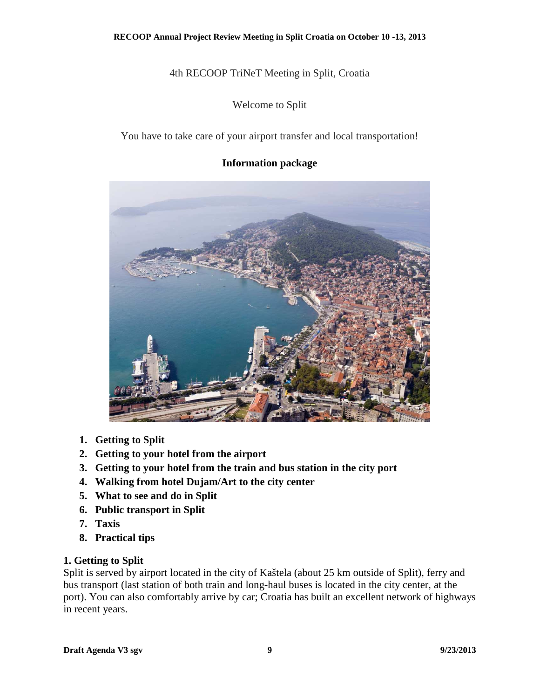## 4th RECOOP TriNeT Meeting in Split, Croatia

Welcome to Split

You have to take care of your airport transfer and local transportation!



#### **Information package**

- **1. Getting to Split**
- **2. Getting to your hotel from the airport**
- **3. Getting to your hotel from the train and bus station in the city port**
- **4. Walking from hotel Dujam/Art to the city center**
- **5. What to see and do in Split**
- **6. Public transport in Split**
- **7. Taxis**
- **8. Practical tips**

### **1. Getting to Split**

Split is served by airport located in the city of Kaštela (about 25 km outside of Split), ferry and bus transport (last station of both train and long-haul buses is located in the city center, at the port). You can also comfortably arrive by car; Croatia has built an excellent network of highways in recent years.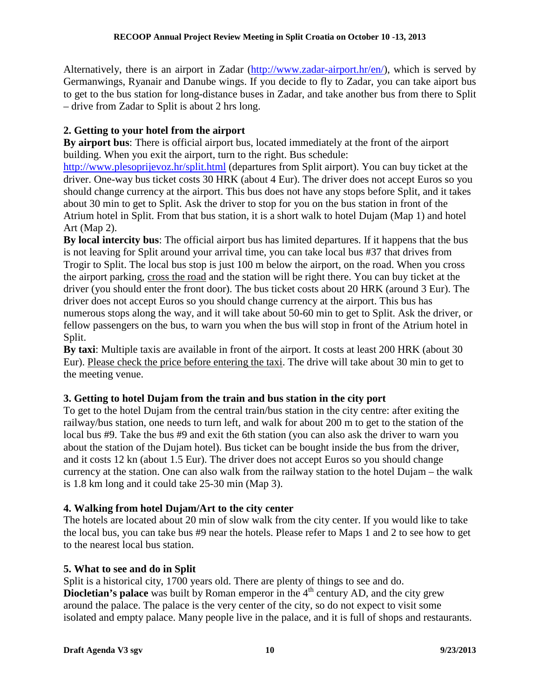Alternatively, there is an airport in Zadar (http://www.zadar-airport.hr/en/), which is served by Germanwings, Ryanair and Danube wings. If you decide to fly to Zadar, you can take aiport bus to get to the bus station for long-distance buses in Zadar, and take another bus from there to Split – drive from Zadar to Split is about 2 hrs long.

## **2. Getting to your hotel from the airport**

**By airport bus**: There is official airport bus, located immediately at the front of the airport building. When you exit the airport, turn to the right. Bus schedule:

http://www.plesoprijevoz.hr/split.html (departures from Split airport). You can buy ticket at the driver. One-way bus ticket costs 30 HRK (about 4 Eur). The driver does not accept Euros so you should change currency at the airport. This bus does not have any stops before Split, and it takes about 30 min to get to Split. Ask the driver to stop for you on the bus station in front of the Atrium hotel in Split. From that bus station, it is a short walk to hotel Dujam (Map 1) and hotel Art (Map 2).

**By local intercity bus**: The official airport bus has limited departures. If it happens that the bus is not leaving for Split around your arrival time, you can take local bus #37 that drives from Trogir to Split. The local bus stop is just 100 m below the airport, on the road. When you cross the airport parking, cross the road and the station will be right there. You can buy ticket at the driver (you should enter the front door). The bus ticket costs about 20 HRK (around 3 Eur). The driver does not accept Euros so you should change currency at the airport. This bus has numerous stops along the way, and it will take about 50-60 min to get to Split. Ask the driver, or fellow passengers on the bus, to warn you when the bus will stop in front of the Atrium hotel in Split.

**By taxi**: Multiple taxis are available in front of the airport. It costs at least 200 HRK (about 30 Eur). Please check the price before entering the taxi. The drive will take about 30 min to get to the meeting venue.

## **3. Getting to hotel Dujam from the train and bus station in the city port**

To get to the hotel Dujam from the central train/bus station in the city centre: after exiting the railway/bus station, one needs to turn left, and walk for about 200 m to get to the station of the local bus #9. Take the bus #9 and exit the 6th station (you can also ask the driver to warn you about the station of the Dujam hotel). Bus ticket can be bought inside the bus from the driver, and it costs 12 kn (about 1.5 Eur). The driver does not accept Euros so you should change currency at the station. One can also walk from the railway station to the hotel Dujam – the walk is 1.8 km long and it could take 25-30 min (Map 3).

## **4. Walking from hotel Dujam/Art to the city center**

The hotels are located about 20 min of slow walk from the city center. If you would like to take the local bus, you can take bus #9 near the hotels. Please refer to Maps 1 and 2 to see how to get to the nearest local bus station.

### **5. What to see and do in Split**

Split is a historical city, 1700 years old. There are plenty of things to see and do. **Diocletian's palace** was built by Roman emperor in the 4<sup>th</sup> century AD, and the city grew around the palace. The palace is the very center of the city, so do not expect to visit some isolated and empty palace. Many people live in the palace, and it is full of shops and restaurants.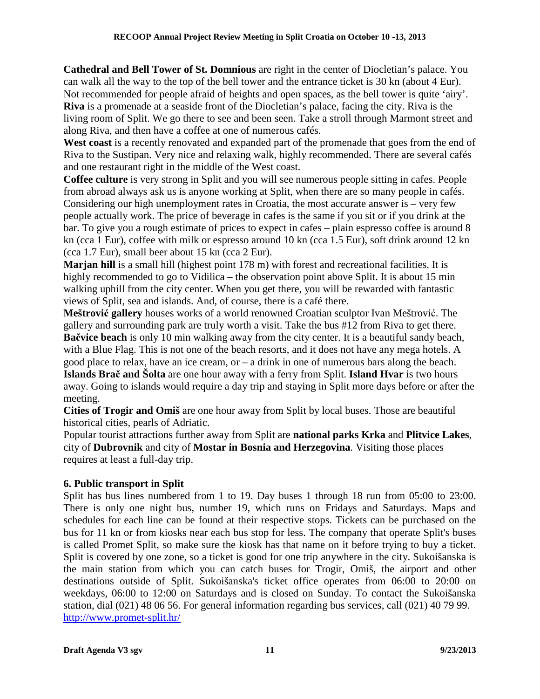**Cathedral and Bell Tower of St. Domnious** are right in the center of Diocletian's palace. You can walk all the way to the top of the bell tower and the entrance ticket is 30 kn (about 4 Eur). Not recommended for people afraid of heights and open spaces, as the bell tower is quite 'airy'. **Riva** is a promenade at a seaside front of the Diocletian's palace, facing the city. Riva is the living room of Split. We go there to see and been seen. Take a stroll through Marmont street and along Riva, and then have a coffee at one of numerous cafés.

West coast is a recently renovated and expanded part of the promenade that goes from the end of Riva to the Sustipan. Very nice and relaxing walk, highly recommended. There are several cafés and one restaurant right in the middle of the West coast.

**Coffee culture** is very strong in Split and you will see numerous people sitting in cafes. People from abroad always ask us is anyone working at Split, when there are so many people in cafés. Considering our high unemployment rates in Croatia, the most accurate answer is – very few people actually work. The price of beverage in cafes is the same if you sit or if you drink at the bar. To give you a rough estimate of prices to expect in cafes – plain espresso coffee is around 8 kn (cca 1 Eur), coffee with milk or espresso around 10 kn (cca 1.5 Eur), soft drink around 12 kn (cca 1.7 Eur), small beer about 15 kn (cca 2 Eur).

**Marjan hill** is a small hill (highest point 178 m) with forest and recreational facilities. It is highly recommended to go to Vidilica – the observation point above Split. It is about 15 min walking uphill from the city center. When you get there, you will be rewarded with fantastic views of Split, sea and islands. And, of course, there is a café there.

**Meštrovi**ć **gallery** houses works of a world renowned Croatian sculptor Ivan Meštrović. The gallery and surrounding park are truly worth a visit. Take the bus #12 from Riva to get there. **Ba**č**vice beach** is only 10 min walking away from the city center. It is a beautiful sandy beach, with a Blue Flag. This is not one of the beach resorts, and it does not have any mega hotels. A good place to relax, have an ice cream, or – a drink in one of numerous bars along the beach. **Islands Bra**č **and Šolta** are one hour away with a ferry from Split. **Island Hvar** is two hours away. Going to islands would require a day trip and staying in Split more days before or after the meeting.

**Cities of Trogir and Omiš** are one hour away from Split by local buses. Those are beautiful historical cities, pearls of Adriatic.

Popular tourist attractions further away from Split are **national parks Krka** and **Plitvice Lakes**, city of **Dubrovnik** and city of **Mostar in Bosnia and Herzegovina**. Visiting those places requires at least a full-day trip.

## **6. Public transport in Split**

Split has bus lines numbered from 1 to 19. Day buses 1 through 18 run from 05:00 to 23:00. There is only one night bus, number 19, which runs on Fridays and Saturdays. Maps and schedules for each line can be found at their respective stops. Tickets can be purchased on the bus for 11 kn or from kiosks near each bus stop for less. The company that operate Split's buses is called Promet Split, so make sure the kiosk has that name on it before trying to buy a ticket. Split is covered by one zone, so a ticket is good for one trip anywhere in the city. Sukoišanska is the main station from which you can catch buses for Trogir, Omiš, the airport and other destinations outside of Split. Sukoišanska's ticket office operates from 06:00 to 20:00 on weekdays, 06:00 to 12:00 on Saturdays and is closed on Sunday. To contact the Sukoišanska station, dial (021) 48 06 56. For general information regarding bus services, call (021) 40 79 99. http://www.promet-split.hr/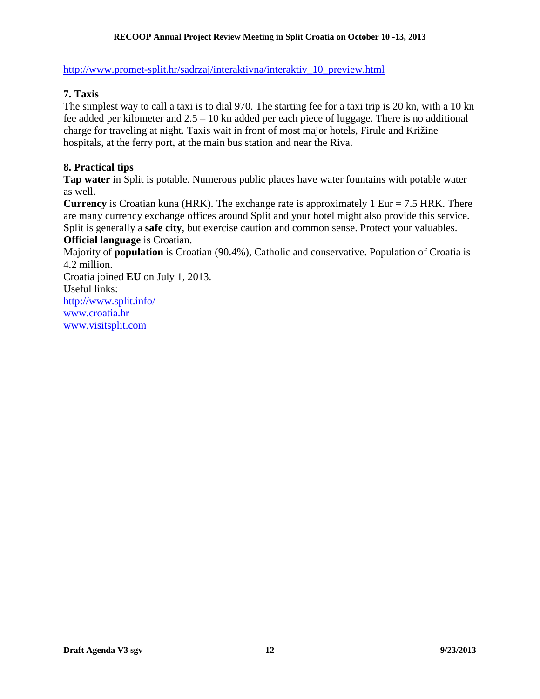http://www.promet-split.hr/sadrzaj/interaktivna/interaktiv 10 preview.html

#### **7. Taxis**

The simplest way to call a taxi is to dial 970. The starting fee for a taxi trip is 20 kn, with a 10 kn fee added per kilometer and 2.5 – 10 kn added per each piece of luggage. There is no additional charge for traveling at night. Taxis wait in front of most major hotels, Firule and Križine hospitals, at the ferry port, at the main bus station and near the Riva.

#### **8. Practical tips**

**Tap water** in Split is potable. Numerous public places have water fountains with potable water as well.

**Currency** is Croatian kuna (HRK). The exchange rate is approximately 1 Eur = 7.5 HRK. There are many currency exchange offices around Split and your hotel might also provide this service. Split is generally a **safe city**, but exercise caution and common sense. Protect your valuables. **Official language** is Croatian.

Majority of **population** is Croatian (90.4%), Catholic and conservative. Population of Croatia is 4.2 million.

Croatia joined **EU** on July 1, 2013. Useful links: http://www.split.info/ www.croatia.hr www.visitsplit.com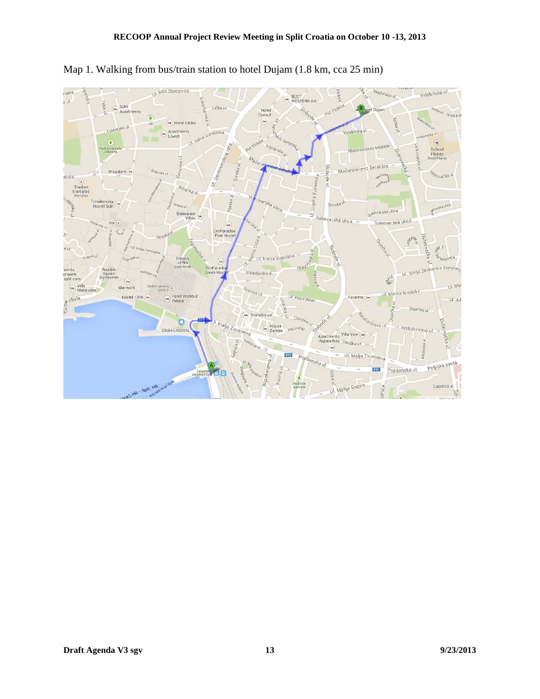

Map 1. Walking from bus/train station to hotel Dujam (1.8 km, cca 25 min)